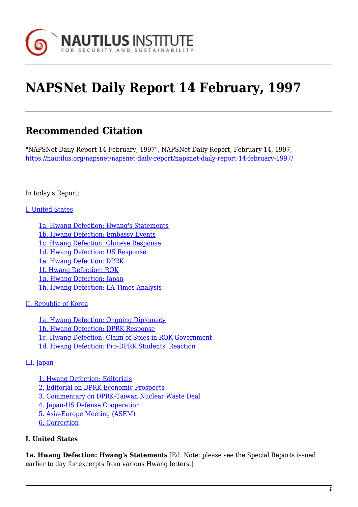

# **NAPSNet Daily Report 14 February, 1997**

# **Recommended Citation**

"NAPSNet Daily Report 14 February, 1997", NAPSNet Daily Report, February 14, 1997, <https://nautilus.org/napsnet/napsnet-daily-report/napsnet-daily-report-14-february-1997/>

In today's Report:

#### [I. United States](#page-2-0)

[1a. Hwang Defection: Hwang's Statements](#page-2-1) [1b. Hwang Defection: Embassy Events](#page-2-2) [1c. Hwang Defection: Chinese Response](#page-2-3) [1d. Hwang Defection: US Response](#page-3-0) [1e. Hwang Defection: DPRK](#page-4-0) [1f. Hwang Defection: ROK](#page-4-1) [1g. Hwang Defection: Japan](#page-5-0) [1h. Hwang Defection: LA Times Analysis](#page-5-1)

#### [II. Republic of Korea](#page-5-2)

[1a. Hwang Defection: Ongoing Diplomacy](#page-5-3) [1b. Hwang Defection: DPRK Response](#page-6-0) [1c. Hwang Defection: Claim of Spies in ROK Government](#page-6-1) [1d. Hwang Defection: Pro-DPRK Students' Reaction](#page-6-2)

#### [III. Japan](#page-6-3)

[1. Hwang Defection: Editorials](#page-6-4) [2. Editorial on DPRK Economic Prospects](#page-7-0) [3. Commentary on DPRK-Taiwan Nuclear Waste Deal](#page-7-1) [4. Japan-US Defense Cooperation](#page-8-0) [5. Asia-Europe Meeting \(ASEM\)](#page-8-1) [6. Correction](#page-9-0)

#### **I. United States**

**1a. Hwang Defection: Hwang's Statements** [Ed. Note: please see the Special Reports issued earlier to day for excerpts from various Hwang letters.]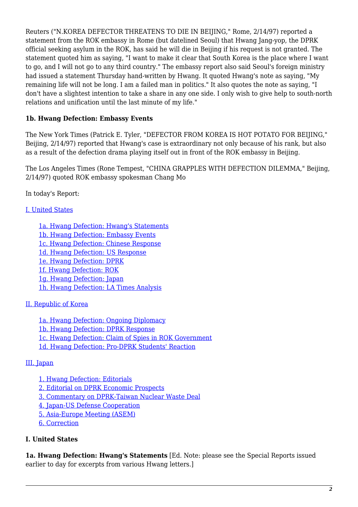Reuters ("N.KOREA DEFECTOR THREATENS TO DIE IN BEIJING," Rome, 2/14/97) reported a statement from the ROK embassy in Rome (but datelined Seoul) that Hwang Jang-yop, the DPRK official seeking asylum in the ROK, has said he will die in Beijing if his request is not granted. The statement quoted him as saying, "I want to make it clear that South Korea is the place where I want to go, and I will not go to any third country." The embassy report also said Seoul's foreign ministry had issued a statement Thursday hand-written by Hwang. It quoted Hwang's note as saying, "My remaining life will not be long. I am a failed man in politics." It also quotes the note as saying, "I don't have a slightest intention to take a share in any one side. I only wish to give help to south-north relations and unification until the last minute of my life."

# **1b. Hwang Defection: Embassy Events**

The New York Times (Patrick E. Tyler, "DEFECTOR FROM KOREA IS HOT POTATO FOR BEIJING," Beijing, 2/14/97) reported that Hwang's case is extraordinary not only because of his rank, but also as a result of the defection drama playing itself out in front of the ROK embassy in Beijing.

The Los Angeles Times (Rone Tempest, "CHINA GRAPPLES WITH DEFECTION DILEMMA," Beijing, 2/14/97) quoted ROK embassy spokesman Chang Mo

In today's Report:

#### [I. United States](#page-2-0)

[1a. Hwang Defection: Hwang's Statements](#page-2-1) [1b. Hwang Defection: Embassy Events](#page-2-2) [1c. Hwang Defection: Chinese Response](#page-2-3) [1d. Hwang Defection: US Response](#page-3-0) [1e. Hwang Defection: DPRK](#page-4-0) [1f. Hwang Defection: ROK](#page-4-1) [1g. Hwang Defection: Japan](#page-5-0) [1h. Hwang Defection: LA Times Analysis](#page-5-1)

#### [II. Republic of Korea](#page-5-2)

[1a. Hwang Defection: Ongoing Diplomacy](#page-5-3) [1b. Hwang Defection: DPRK Response](#page-6-0) [1c. Hwang Defection: Claim of Spies in ROK Government](#page-6-1) [1d. Hwang Defection: Pro-DPRK Students' Reaction](#page-6-2)

#### [III. Japan](#page-6-3)

[1. Hwang Defection: Editorials](#page-6-4)

[2. Editorial on DPRK Economic Prospects](#page-7-0)

[3. Commentary on DPRK-Taiwan Nuclear Waste Deal](#page-7-1)

[4. Japan-US Defense Cooperation](#page-8-0)

[5. Asia-Europe Meeting \(ASEM\)](#page-8-1)

[6. Correction](#page-9-0)

# **I. United States**

**1a. Hwang Defection: Hwang's Statements** [Ed. Note: please see the Special Reports issued earlier to day for excerpts from various Hwang letters.]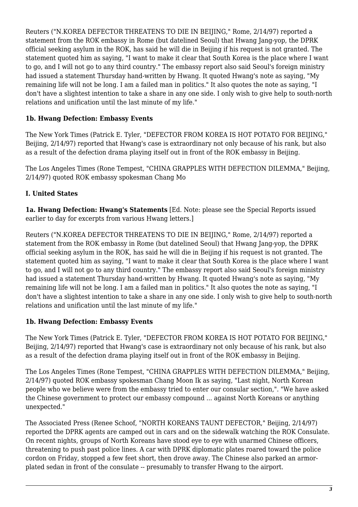Reuters ("N.KOREA DEFECTOR THREATENS TO DIE IN BEIJING," Rome, 2/14/97) reported a statement from the ROK embassy in Rome (but datelined Seoul) that Hwang Jang-yop, the DPRK official seeking asylum in the ROK, has said he will die in Beijing if his request is not granted. The statement quoted him as saying, "I want to make it clear that South Korea is the place where I want to go, and I will not go to any third country." The embassy report also said Seoul's foreign ministry had issued a statement Thursday hand-written by Hwang. It quoted Hwang's note as saying, "My remaining life will not be long. I am a failed man in politics." It also quotes the note as saying, "I don't have a slightest intention to take a share in any one side. I only wish to give help to south-north relations and unification until the last minute of my life."

# **1b. Hwang Defection: Embassy Events**

The New York Times (Patrick E. Tyler, "DEFECTOR FROM KOREA IS HOT POTATO FOR BEIJING," Beijing, 2/14/97) reported that Hwang's case is extraordinary not only because of his rank, but also as a result of the defection drama playing itself out in front of the ROK embassy in Beijing.

The Los Angeles Times (Rone Tempest, "CHINA GRAPPLES WITH DEFECTION DILEMMA," Beijing, 2/14/97) quoted ROK embassy spokesman Chang Mo

# <span id="page-2-0"></span>**I. United States**

<span id="page-2-1"></span>**1a. Hwang Defection: Hwang's Statements** [Ed. Note: please see the Special Reports issued earlier to day for excerpts from various Hwang letters.]

Reuters ("N.KOREA DEFECTOR THREATENS TO DIE IN BEIJING," Rome, 2/14/97) reported a statement from the ROK embassy in Rome (but datelined Seoul) that Hwang Jang-yop, the DPRK official seeking asylum in the ROK, has said he will die in Beijing if his request is not granted. The statement quoted him as saying, "I want to make it clear that South Korea is the place where I want to go, and I will not go to any third country." The embassy report also said Seoul's foreign ministry had issued a statement Thursday hand-written by Hwang. It quoted Hwang's note as saying, "My remaining life will not be long. I am a failed man in politics." It also quotes the note as saying, "I don't have a slightest intention to take a share in any one side. I only wish to give help to south-north relations and unification until the last minute of my life."

#### <span id="page-2-2"></span>**1b. Hwang Defection: Embassy Events**

The New York Times (Patrick E. Tyler, "DEFECTOR FROM KOREA IS HOT POTATO FOR BEIJING," Beijing, 2/14/97) reported that Hwang's case is extraordinary not only because of his rank, but also as a result of the defection drama playing itself out in front of the ROK embassy in Beijing.

The Los Angeles Times (Rone Tempest, "CHINA GRAPPLES WITH DEFECTION DILEMMA," Beijing, 2/14/97) quoted ROK embassy spokesman Chang Moon Ik as saying, "Last night, North Korean people who we believe were from the embassy tried to enter our consular section,". "We have asked the Chinese government to protect our embassy compound ... against North Koreans or anything unexpected."

<span id="page-2-3"></span>The Associated Press (Renee Schoof, "NORTH KOREANS TAUNT DEFECTOR," Beijing, 2/14/97) reported the DPRK agents are camped out in cars and on the sidewalk watching the ROK Consulate. On recent nights, groups of North Koreans have stood eye to eye with unarmed Chinese officers, threatening to push past police lines. A car with DPRK diplomatic plates roared toward the police cordon on Friday, stopped a few feet short, then drove away. The Chinese also parked an armorplated sedan in front of the consulate -- presumably to transfer Hwang to the airport.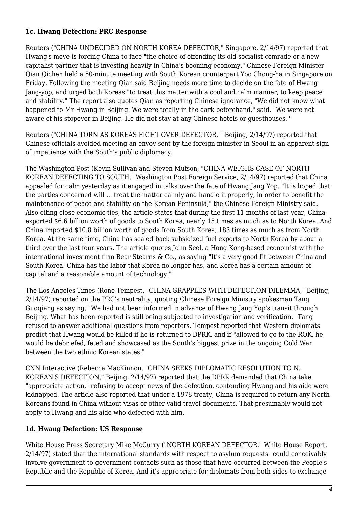#### **1c. Hwang Defection: PRC Response**

Reuters ("CHINA UNDECIDED ON NORTH KOREA DEFECTOR," Singapore, 2/14/97) reported that Hwang's move is forcing China to face "the choice of offending its old socialist comrade or a new capitalist partner that is investing heavily in China's booming economy." Chinese Foreign Minister Qian Qichen held a 50-minute meeting with South Korean counterpart Yoo Chong-ha in Singapore on Friday. Following the meeting Qian said Beijing needs more time to decide on the fate of Hwang Jang-yop, and urged both Koreas "to treat this matter with a cool and calm manner, to keep peace and stability." The report also quotes Qian as reporting Chinese ignorance, "We did not know what happened to Mr Hwang in Beijing. We were totally in the dark beforehand," said. "We were not aware of his stopover in Beijing. He did not stay at any Chinese hotels or guesthouses."

Reuters ("CHINA TORN AS KOREAS FIGHT OVER DEFECTOR, " Beijing, 2/14/97) reported that Chinese officials avoided meeting an envoy sent by the foreign minister in Seoul in an apparent sign of impatience with the South's public diplomacy.

The Washington Post (Kevin Sullivan and Steven Mufson, "CHINA WEIGHS CASE OF NORTH KOREAN DEFECTING TO SOUTH," Washington Post Foreign Service, 2/14/97) reported that China appealed for calm yesterday as it engaged in talks over the fate of Hwang Jang Yop. "It is hoped that the parties concerned will ... treat the matter calmly and handle it properly, in order to benefit the maintenance of peace and stability on the Korean Peninsula," the Chinese Foreign Ministry said. Also citing close economic ties, the article states that during the first 11 months of last year, China exported \$6.6 billion worth of goods to South Korea, nearly 15 times as much as to North Korea. And China imported \$10.8 billion worth of goods from South Korea, 183 times as much as from North Korea. At the same time, China has scaled back subsidized fuel exports to North Korea by about a third over the last four years. The article quotes John Seel, a Hong Kong-based economist with the international investment firm Bear Stearns & Co., as saying "It's a very good fit between China and South Korea. China has the labor that Korea no longer has, and Korea has a certain amount of capital and a reasonable amount of technology."

The Los Angeles Times (Rone Tempest, "CHINA GRAPPLES WITH DEFECTION DILEMMA," Beijing, 2/14/97) reported on the PRC's neutrality, quoting Chinese Foreign Ministry spokesman Tang Guoqiang as saying, "We had not been informed in advance of Hwang Jang Yop's transit through Beijing. What has been reported is still being subjected to investigation and verification." Tang refused to answer additional questions from reporters. Tempest reported that Western diplomats predict that Hwang would be killed if he is returned to DPRK, and if "allowed to go to the ROK, he would be debriefed, feted and showcased as the South's biggest prize in the ongoing Cold War between the two ethnic Korean states."

CNN Interactive (Rebecca MacKinnon, "CHINA SEEKS DIPLOMATIC RESOLUTION TO N. KOREAN'S DEFECTION," Beijing, 2/14/97) reported that the DPRK demanded that China take "appropriate action," refusing to accept news of the defection, contending Hwang and his aide were kidnapped. The article also reported that under a 1978 treaty, China is required to return any North Koreans found in China without visas or other valid travel documents. That presumably would not apply to Hwang and his aide who defected with him.

#### <span id="page-3-0"></span>**1d. Hwang Defection: US Response**

White House Press Secretary Mike McCurry ("NORTH KOREAN DEFECTOR," White House Report, 2/14/97) stated that the international standards with respect to asylum requests "could conceivably involve government-to-government contacts such as those that have occurred between the People's Republic and the Republic of Korea. And it's appropriate for diplomats from both sides to exchange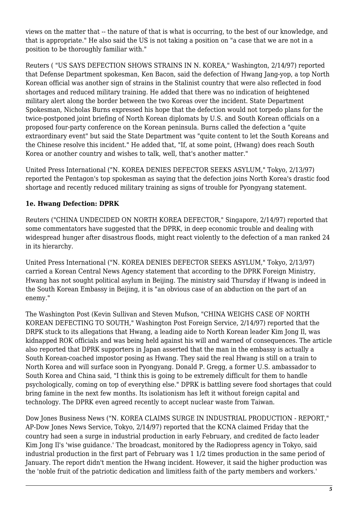views on the matter that -- the nature of that is what is occurring, to the best of our knowledge, and that is appropriate." He also said the US is not taking a position on "a case that we are not in a position to be thoroughly familiar with."

Reuters ( "US SAYS DEFECTION SHOWS STRAINS IN N. KOREA," Washington, 2/14/97) reported that Defense Department spokesman, Ken Bacon, said the defection of Hwang Jang-yop, a top North Korean official was another sign of strains in the Stalinist country that were also reflected in food shortages and reduced military training. He added that there was no indication of heightened military alert along the border between the two Koreas over the incident. State Department Spokesman, Nicholas Burns expressed his hope that the defection would not torpedo plans for the twice-postponed joint briefing of North Korean diplomats by U.S. and South Korean officials on a proposed four-party conference on the Korean peninsula. Burns called the defection a "quite extraordinary event" but said the State Department was "quite content to let the South Koreans and the Chinese resolve this incident." He added that, "If, at some point, (Hwang) does reach South Korea or another country and wishes to talk, well, that's another matter."

United Press International ("N. KOREA DENIES DEFECTOR SEEKS ASYLUM," Tokyo, 2/13/97) reported the Pentagon's top spokesman as saying that the defection joins North Korea's drastic food shortage and recently reduced military training as signs of trouble for Pyongyang statement.

#### <span id="page-4-0"></span>**1e. Hwang Defection: DPRK**

Reuters ("CHINA UNDECIDED ON NORTH KOREA DEFECTOR," Singapore, 2/14/97) reported that some commentators have suggested that the DPRK, in deep economic trouble and dealing with widespread hunger after disastrous floods, might react violently to the defection of a man ranked 24 in its hierarchy.

United Press International ("N. KOREA DENIES DEFECTOR SEEKS ASYLUM," Tokyo, 2/13/97) carried a Korean Central News Agency statement that according to the DPRK Foreign Ministry, Hwang has not sought political asylum in Beijing. The ministry said Thursday if Hwang is indeed in the South Korean Embassy in Beijing, it is "an obvious case of an abduction on the part of an enemy."

The Washington Post (Kevin Sullivan and Steven Mufson, "CHINA WEIGHS CASE OF NORTH KOREAN DEFECTING TO SOUTH," Washington Post Foreign Service, 2/14/97) reported that the DRPK stuck to its allegations that Hwang, a leading aide to North Korean leader Kim Jong Il, was kidnapped ROK officials and was being held against his will and warned of consequences. The article also reported that DPRK supporters in Japan asserted that the man in the embassy is actually a South Korean-coached impostor posing as Hwang. They said the real Hwang is still on a train to North Korea and will surface soon in Pyongyang. Donald P. Gregg, a former U.S. ambassador to South Korea and China said, "I think this is going to be extremely difficult for them to handle psychologically, coming on top of everything else." DPRK is battling severe food shortages that could bring famine in the next few months. Its isolationism has left it without foreign capital and technology. The DPRK even agreed recently to accept nuclear waste from Taiwan.

<span id="page-4-1"></span>Dow Jones Business News ("N. KOREA CLAIMS SURGE IN INDUSTRIAL PRODUCTION - REPORT," AP-Dow Jones News Service, Tokyo, 2/14/97) reported that the KCNA claimed Friday that the country had seen a surge in industrial production in early February, and credited de facto leader Kim Jong Il's 'wise guidance.' The broadcast, monitored by the Radiopress agency in Tokyo, said industrial production in the first part of February was 1 1/2 times production in the same period of January. The report didn't mention the Hwang incident. However, it said the higher production was the 'noble fruit of the patriotic dedication and limitless faith of the party members and workers.'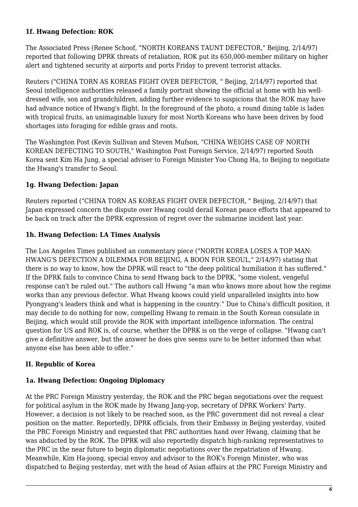#### **1f. Hwang Defection: ROK**

The Associated Press (Renee Schoof, "NORTH KOREANS TAUNT DEFECTOR," Beijing, 2/14/97) reported that following DPRK threats of retaliation, ROK put its 650,000-member military on higher alert and tightened security at airports and ports Friday to prevent terrorist attacks.

Reuters ("CHINA TORN AS KOREAS FIGHT OVER DEFECTOR, " Beijing, 2/14/97) reported that Seoul intelligence authorities released a family portrait showing the official at home with his welldressed wife, son and grandchildren, adding further evidence to suspicions that the ROK may have had advance notice of Hwang's flight. In the foreground of the photo, a round dining table is laden with tropical fruits, an unimaginable luxury for most North Koreans who have been driven by food shortages into foraging for edible grass and roots.

The Washington Post (Kevin Sullivan and Steven Mufson, "CHINA WEIGHS CASE OF NORTH KOREAN DEFECTING TO SOUTH," Washington Post Foreign Service, 2/14/97) reported South Korea sent Kim Ha Jung, a special adviser to Foreign Minister Yoo Chong Ha, to Beijing to negotiate the Hwang's transfer to Seoul.

#### <span id="page-5-0"></span>**1g. Hwang Defection: Japan**

Reuters reported ("CHINA TORN AS KOREAS FIGHT OVER DEFECTOR, " Beijing, 2/14/97) that Japan expressed concern the dispute over Hwang could derail Korean peace efforts that appeared to be back on track after the DPRK expression of regret over the submarine incident last year.

#### <span id="page-5-1"></span>**1h. Hwang Defection: LA Times Analysis**

The Los Angeles Times published an commentary piece ("NORTH KOREA LOSES A TOP MAN: HWANG'S DEFECTION A DILEMMA FOR BEIJING, A BOON FOR SEOUL," 2/14/97) stating that there is no way to know, how the DPRK will react to "the deep political humiliation it has suffered." If the DPRK fails to convince China to send Hwang back to the DPRK, "some violent, vengeful response can't be ruled out." The authors call Hwang "a man who knows more about how the regime works than any previous defector. What Hwang knows could yield unparalleled insights into how Pyongyang's leaders think and what is happening in the country." Due to China's difficult position, it may decide to do nothing for now, compelling Hwang to remain in the South Korean consulate in Beijing, which would still provide the ROK with important intelligence information. The central question for US and ROK is, of course, whether the DPRK is on the verge of collapse. "Hwang can't give a definitive answer, but the answer he does give seems sure to be better informed than what anyone else has been able to offer."

#### <span id="page-5-2"></span>**II. Republic of Korea**

#### <span id="page-5-3"></span>**1a. Hwang Defection: Ongoing Diplomacy**

At the PRC Foreign Ministry yesterday, the ROK and the PRC began negotiations over the request for political asylum in the ROK made by Hwang Jang-yop, secretary of DPRK Workers' Party. However, a decision is not likely to be reached soon, as the PRC government did not reveal a clear position on the matter. Reportedly, DPRK officials, from their Embassy in Beijing yesterday, visited the PRC Foreign Ministry and requested that PRC authorities hand over Hwang, claiming that he was abducted by the ROK. The DPRK will also reportedly dispatch high-ranking representatives to the PRC in the near future to begin diplomatic negotiations over the repatriation of Hwang. Meanwhile, Kim Ha-joong, special envoy and advisor to the ROK's Foreign Minister, who was dispatched to Beijing yesterday, met with the head of Asian affairs at the PRC Foreign Ministry and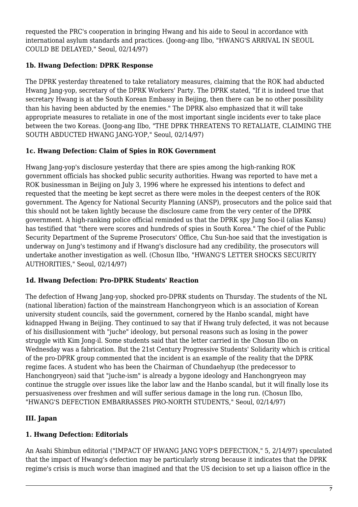requested the PRC's cooperation in bringing Hwang and his aide to Seoul in accordance with international asylum standards and practices. (Joong-ang Ilbo, "HWANG'S ARRIVAL IN SEOUL COULD BE DELAYED," Seoul, 02/14/97)

# <span id="page-6-0"></span>**1b. Hwang Defection: DPRK Response**

The DPRK yesterday threatened to take retaliatory measures, claiming that the ROK had abducted Hwang Jang-yop, secretary of the DPRK Workers' Party. The DPRK stated, "If it is indeed true that secretary Hwang is at the South Korean Embassy in Beijing, then there can be no other possibility than his having been abducted by the enemies." The DPRK also emphasized that it will take appropriate measures to retaliate in one of the most important single incidents ever to take place between the two Koreas. (Joong-ang Ilbo, "THE DPRK THREATENS TO RETALIATE, CLAIMING THE SOUTH ABDUCTED HWANG JANG-YOP," Seoul, 02/14/97)

# <span id="page-6-1"></span>**1c. Hwang Defection: Claim of Spies in ROK Government**

Hwang Jang-yop's disclosure yesterday that there are spies among the high-ranking ROK government officials has shocked public security authorities. Hwang was reported to have met a ROK businessman in Beijing on July 3, 1996 where he expressed his intentions to defect and requested that the meeting be kept secret as there were moles in the deepest centers of the ROK government. The Agency for National Security Planning (ANSP), prosecutors and the police said that this should not be taken lightly because the disclosure came from the very center of the DPRK government. A high-ranking police official reminded us that the DPRK spy Jung Soo-il (alias Kansu) has testified that "there were scores and hundreds of spies in South Korea." The chief of the Public Security Department of the Supreme Prosecutors' Office, Chu Sun-hoe said that the investigation is underway on Jung's testimony and if Hwang's disclosure had any credibility, the prosecutors will undertake another investigation as well. (Chosun Ilbo, "HWANG'S LETTER SHOCKS SECURITY AUTHORITIES," Seoul, 02/14/97)

# <span id="page-6-2"></span>**1d. Hwang Defection: Pro-DPRK Students' Reaction**

The defection of Hwang Jang-yop, shocked pro-DPRK students on Thursday. The students of the NL (national liberation) faction of the mainstream Hanchongryeon which is an association of Korean university student councils, said the government, cornered by the Hanbo scandal, might have kidnapped Hwang in Beijing. They continued to say that if Hwang truly defected, it was not because of his disillusionment with "juche" ideology, but personal reasons such as losing in the power struggle with Kim Jong-il. Some students said that the letter carried in the Chosun Ilbo on Wednesday was a fabrication. But the 21st Century Progressive Students' Solidarity which is critical of the pro-DPRK group commented that the incident is an example of the reality that the DPRK regime faces. A student who has been the Chairman of Chundaehyup (the predecessor to Hanchongryeon) said that "juche-ism" is already a bygone ideology and Hanchongryeon may continue the struggle over issues like the labor law and the Hanbo scandal, but it will finally lose its persuasiveness over freshmen and will suffer serious damage in the long run. (Chosun Ilbo, "HWANG'S DEFECTION EMBARRASSES PRO-NORTH STUDENTS," Seoul, 02/14/97)

# <span id="page-6-3"></span>**III. Japan**

# <span id="page-6-4"></span>**1. Hwang Defection: Editorials**

An Asahi Shimbun editorial ("IMPACT OF HWANG JANG YOP'S DEFECTION," 5, 2/14/97) speculated that the impact of Hwang's defection may be particularly strong because it indicates that the DPRK regime's crisis is much worse than imagined and that the US decision to set up a liaison office in the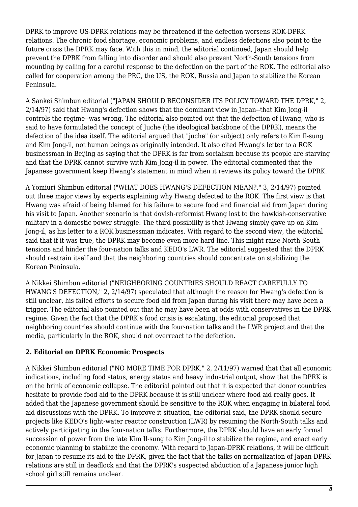DPRK to improve US-DPRK relations may be threatened if the defection worsens ROK-DPRK relations. The chronic food shortage, economic problems, and endless defections also point to the future crisis the DPRK may face. With this in mind, the editorial continued, Japan should help prevent the DPRK from falling into disorder and should also prevent North-South tensions from mounting by calling for a careful response to the defection on the part of the ROK. The editorial also called for cooperation among the PRC, the US, the ROK, Russia and Japan to stabilize the Korean Peninsula.

A Sankei Shimbun editorial ("JAPAN SHOULD RECONSIDER ITS POLICY TOWARD THE DPRK," 2, 2/14/97) said that Hwang's defection shows that the dominant view in Japan--that Kim Jong-il controls the regime--was wrong. The editorial also pointed out that the defection of Hwang, who is said to have formulated the concept of Juche (the ideological backbone of the DPRK), means the defection of the idea itself. The editorial argued that "juche" (or subject) only refers to Kim Il-sung and Kim Jong-il, not human beings as originally intended. It also cited Hwang's letter to a ROK businessman in Beijing as saying that the DPRK is far from socialism because its people are starving and that the DPRK cannot survive with Kim Jong-il in power. The editorial commented that the Japanese government keep Hwang's statement in mind when it reviews its policy toward the DPRK.

A Yomiuri Shimbun editorial ("WHAT DOES HWANG'S DEFECTION MEAN?," 3, 2/14/97) pointed out three major views by experts explaining why Hwang defected to the ROK. The first view is that Hwang was afraid of being blamed for his failure to secure food and financial aid from Japan during his visit to Japan. Another scenario is that dovish-reformist Hwang lost to the hawkish-conservative military in a domestic power struggle. The third possibility is that Hwang simply gave up on Kim Jong-il, as his letter to a ROK businessman indicates. With regard to the second view, the editorial said that if it was true, the DPRK may become even more hard-line. This might raise North-South tensions and hinder the four-nation talks and KEDO's LWR. The editorial suggested that the DPRK should restrain itself and that the neighboring countries should concentrate on stabilizing the Korean Peninsula.

A Nikkei Shimbun editorial ("NEIGHBORING COUNTRIES SHOULD REACT CAREFULLY TO HWANG'S DEFECTION," 2, 2/14/97) speculated that although the reason for Hwang's defection is still unclear, his failed efforts to secure food aid from Japan during his visit there may have been a trigger. The editorial also pointed out that he may have been at odds with conservatives in the DPRK regime. Given the fact that the DPRK's food crisis is escalating, the editorial proposed that neighboring countries should continue with the four-nation talks and the LWR project and that the media, particularly in the ROK, should not overreact to the defection.

# <span id="page-7-0"></span>**2. Editorial on DPRK Economic Prospects**

<span id="page-7-1"></span>A Nikkei Shimbun editorial ("NO MORE TIME FOR DPRK," 2, 2/11/97) warned that that all economic indications, including food status, energy status and heavy industrial output, show that the DPRK is on the brink of economic collapse. The editorial pointed out that it is expected that donor countries hesitate to provide food aid to the DPRK because it is still unclear where food aid really goes. It added that the Japanese government should be sensitive to the ROK when engaging in bilateral food aid discussions with the DPRK. To improve it situation, the editorial said, the DPRK should secure projects like KEDO's light-water reactor construction (LWR) by resuming the North-South talks and actively participating in the four-nation talks. Furthermore, the DPRK should have an early formal succession of power from the late Kim Il-sung to Kim Jong-il to stabilize the regime, and enact early economic planning to stabilize the economy. With regard to Japan-DPRK relations, it will be difficult for Japan to resume its aid to the DPRK, given the fact that the talks on normalization of Japan-DPRK relations are still in deadlock and that the DPRK's suspected abduction of a Japanese junior high school girl still remains unclear.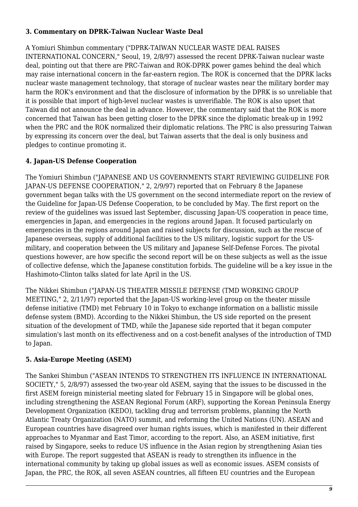#### **3. Commentary on DPRK-Taiwan Nuclear Waste Deal**

A Yomiuri Shimbun commentary ("DPRK-TAIWAN NUCLEAR WASTE DEAL RAISES INTERNATIONAL CONCERN," Seoul, 19, 2/8/97) assessed the recent DPRK-Taiwan nuclear waste deal, pointing out that there are PRC-Taiwan and ROK-DPRK power games behind the deal which may raise international concern in the far-eastern region. The ROK is concerned that the DPRK lacks nuclear waste management technology, that storage of nuclear wastes near the military border may harm the ROK's environment and that the disclosure of information by the DPRK is so unreliable that it is possible that import of high-level nuclear wastes is unverifiable. The ROK is also upset that Taiwan did not announce the deal in advance. However, the commentary said that the ROK is more concerned that Taiwan has been getting closer to the DPRK since the diplomatic break-up in 1992 when the PRC and the ROK normalized their diplomatic relations. The PRC is also pressuring Taiwan by expressing its concern over the deal, but Taiwan asserts that the deal is only business and pledges to continue promoting it.

#### <span id="page-8-0"></span>**4. Japan-US Defense Cooperation**

The Yomiuri Shimbun ("JAPANESE AND US GOVERNMENTS START REVIEWING GUIDELINE FOR JAPAN-US DEFENSE COOPERATION," 2, 2/9/97) reported that on February 8 the Japanese government began talks with the US government on the second intermediate report on the review of the Guideline for Japan-US Defense Cooperation, to be concluded by May. The first report on the review of the guidelines was issued last September, discussing Japan-US cooperation in peace time, emergencies in Japan, and emergencies in the regions around Japan. It focused particularly on emergencies in the regions around Japan and raised subjects for discussion, such as the rescue of Japanese overseas, supply of additional facilities to the US military, logistic support for the USmilitary, and cooperation between the US military and Japanese Self-Defense Forces. The pivotal questions however, are how specific the second report will be on these subjects as well as the issue of collective defense, which the Japanese constitution forbids. The guideline will be a key issue in the Hashimoto-Clinton talks slated for late April in the US.

The Nikkei Shimbun ("JAPAN-US THEATER MISSILE DEFENSE (TMD WORKING GROUP MEETING," 2, 2/11/97) reported that the Japan-US working-level group on the theater missile defense initiative (TMD) met February 10 in Tokyo to exchange information on a ballistic missile defense system (BMD). According to the Nikkei Shimbun, the US side reported on the present situation of the development of TMD, while the Japanese side reported that it began computer simulation's last month on its effectiveness and on a cost-benefit analyses of the introduction of TMD to Japan.

#### <span id="page-8-1"></span>**5. Asia-Europe Meeting (ASEM)**

The Sankei Shimbun ("ASEAN INTENDS TO STRENGTHEN ITS INFLUENCE IN INTERNATIONAL SOCIETY," 5, 2/8/97) assessed the two-year old ASEM, saying that the issues to be discussed in the first ASEM foreign ministerial meeting slated for February 15 in Singapore will be global ones, including strengthening the ASEAN Regional Forum (ARF), supporting the Korean Peninsula Energy Development Organization (KEDO), tackling drug and terrorism problems, planning the North Atlantic Treaty Organization (NATO) summit, and reforming the United Nations (UN). ASEAN and European countries have disagreed over human rights issues, which is manifested in their different approaches to Myanmar and East Timor, according to the report. Also, an ASEM initiative, first raised by Singapore, seeks to reduce US influence in the Asian region by strengthening Asian ties with Europe. The report suggested that ASEAN is ready to strengthen its influence in the international community by taking up global issues as well as economic issues. ASEM consists of Japan, the PRC, the ROK, all seven ASEAN countries, all fifteen EU countries and the European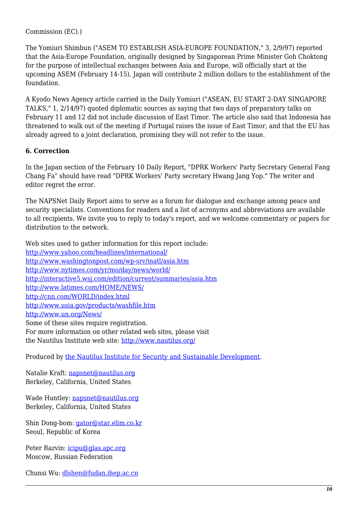Commission (EC).)

The Yomiuri Shimbun ("ASEM TO ESTABLISH ASIA-EUROPE FOUNDATION," 3, 2/9/97) reported that the Asia-Europe Foundation, originally designed by Singaporean Prime Minister Goh Choktong for the purpose of intellectual exchanges between Asia and Europe, will officially start at the upcoming ASEM (February 14-15). Japan will contribute 2 million dollars to the establishment of the foundation.

A Kyodo News Agency article carried in the Daily Yomiuri ("ASEAN, EU START 2-DAY SINGAPORE TALKS," 1, 2/14/97) quoted diplomatic sources as saying that two days of preparatory talks on February 11 and 12 did not include discussion of East Timor. The article also said that Indonesia has threatened to walk out of the meeting if Portugal raises the issue of East Timor, and that the EU has already agreed to a joint declaration, promising they will not refer to the issue.

#### <span id="page-9-0"></span>**6. Correction**

In the Japan section of the February 10 Daily Report, "DPRK Workers' Party Secretary General Fang Chang Fa" should have read "DPRK Workers' Party secretary Hwang Jang Yop." The writer and editor regret the error.

The NAPSNet Daily Report aims to serve as a forum for dialogue and exchange among peace and security specialists. Conventions for readers and a list of acronyms and abbreviations are available to all recipients. We invite you to reply to today's report, and we welcome commentary or papers for distribution to the network.

Web sites used to gather information for this report include: <http://www.yahoo.com/headlines/international/> <http://www.washingtonpost.com/wp-srv/inatl/asia.htm> <http://www.nytimes.com/yr/mo/day/news/world/> <http://interactive5.wsj.com/edition/current/summaries/asia.htm> <http://www.latimes.com/HOME/NEWS/> <http://cnn.com/WORLD/index.html> <http://www.usia.gov/products/washfile.htm> <http://www.un.org/News/> Some of these sites require registration. For more information on other related web sites, please visit the Nautilus Institute web site: <http://www.nautilus.org/>

Produced by [the Nautilus Institute for Security and Sustainable Development](http://www.nautilus.org/morenaut.html).

Natalie Kraft: [napsnet@nautilus.org](mailto:napsnet@nautilus.org) Berkeley, California, United States

Wade Huntley: [napsnet@nautilus.org](mailto:napsnet@nautilus.org) Berkeley, California, United States

Shin Dong-bom: [gator@star.elim.co.kr](mailto:gator@star.elim.co.kr) Seoul, Republic of Korea

Peter Razvin: [icipu@glas.apc.org](mailto:icipu@glas.apc.org) Moscow, Russian Federation

Chunsi Wu: [dlshen@fudan.ihep.ac.cn](mailto:dlshen@fudan.ihep.ac.cn (Chunsi Wu))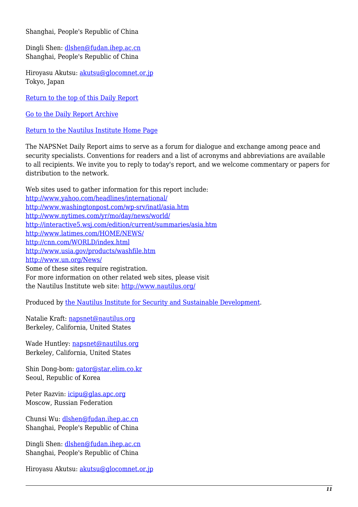Shanghai, People's Republic of China

Dingli Shen: [dlshen@fudan.ihep.ac.cn](mailto:dlshen@fudan.ihep.ac.cn (Dingli Shen)) Shanghai, People's Republic of China

Hiroyasu Akutsu: [akutsu@glocomnet.or.jp](mailto:akutsu@glocomnet.or.jp) Tokyo, Japan

[Return to the top of this Daily Report](#page--1-0)

[Go to the Daily Report Archive](http://www.nautilus.org/pub/ftp/napsnet/daily_reports)

[Return to the Nautilus Institute Home Page](http://www.nautilus.org)

The NAPSNet Daily Report aims to serve as a forum for dialogue and exchange among peace and security specialists. Conventions for readers and a list of acronyms and abbreviations are available to all recipients. We invite you to reply to today's report, and we welcome commentary or papers for distribution to the network.

Web sites used to gather information for this report include: <http://www.yahoo.com/headlines/international/> <http://www.washingtonpost.com/wp-srv/inatl/asia.htm> <http://www.nytimes.com/yr/mo/day/news/world/> <http://interactive5.wsj.com/edition/current/summaries/asia.htm> <http://www.latimes.com/HOME/NEWS/> <http://cnn.com/WORLD/index.html> <http://www.usia.gov/products/washfile.htm> <http://www.un.org/News/> Some of these sites require registration. For more information on other related web sites, please visit the Nautilus Institute web site: <http://www.nautilus.org/>

Produced by [the Nautilus Institute for Security and Sustainable Development](http://www.nautilus.org/morenaut.html).

Natalie Kraft: [napsnet@nautilus.org](mailto:napsnet@nautilus.org) Berkeley, California, United States

Wade Huntley: [napsnet@nautilus.org](mailto:napsnet@nautilus.org) Berkeley, California, United States

Shin Dong-bom: [gator@star.elim.co.kr](mailto:gator@star.elim.co.kr) Seoul, Republic of Korea

Peter Razvin: [icipu@glas.apc.org](mailto:icipu@glas.apc.org) Moscow, Russian Federation

Chunsi Wu: [dlshen@fudan.ihep.ac.cn](mailto:dlshen@fudan.ihep.ac.cn (Chunsi Wu)) Shanghai, People's Republic of China

Dingli Shen: [dlshen@fudan.ihep.ac.cn](mailto:dlshen@fudan.ihep.ac.cn (Dingli Shen)) Shanghai, People's Republic of China

Hiroyasu Akutsu: [akutsu@glocomnet.or.jp](mailto:akutsu@glocomnet.or.jp)